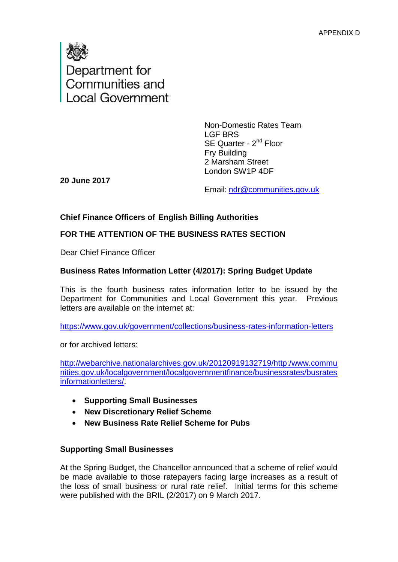

Non-Domestic Rates Team LGF BRS SE Quarter - 2<sup>nd</sup> Floor Fry Building 2 Marsham Street London SW1P 4DF

**20 June 2017** 

Email: [ndr@communities.gov.uk](mailto:ndr@communities.gov.uk)

#### **Chief Finance Officers of English Billing Authorities**

#### **FOR THE ATTENTION OF THE BUSINESS RATES SECTION**

Dear Chief Finance Officer

#### **Business Rates Information Letter (4/2017): Spring Budget Update**

This is the fourth business rates information letter to be issued by the Department for Communities and Local Government this year. Previous letters are available on the internet at:

<https://www.gov.uk/government/collections/business-rates-information-letters>

or for archived letters:

[http://webarchive.nationalarchives.gov.uk/20120919132719/http:/www.commu](http://webarchive.nationalarchives.gov.uk/20120919132719/http:/www.communities.gov.uk/localgovernment/localgovernmentfinance/businessrates/busratesinformationletters/) [nities.gov.uk/localgovernment/localgovernmentfinance/businessrates/busrates](http://webarchive.nationalarchives.gov.uk/20120919132719/http:/www.communities.gov.uk/localgovernment/localgovernmentfinance/businessrates/busratesinformationletters/) [informationletters/.](http://webarchive.nationalarchives.gov.uk/20120919132719/http:/www.communities.gov.uk/localgovernment/localgovernmentfinance/businessrates/busratesinformationletters/)

- **Supporting Small Businesses**
- **New Discretionary Relief Scheme**
- **New Business Rate Relief Scheme for Pubs**

#### **Supporting Small Businesses**

At the Spring Budget, the Chancellor announced that a scheme of relief would be made available to those ratepayers facing large increases as a result of the loss of small business or rural rate relief. Initial terms for this scheme were published with the BRIL (2/2017) on 9 March 2017.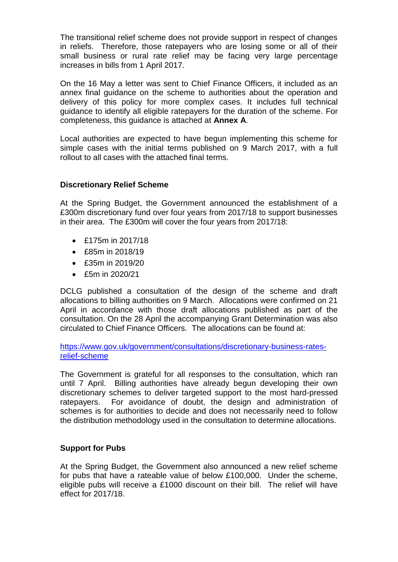The transitional relief scheme does not provide support in respect of changes in reliefs. Therefore, those ratepayers who are losing some or all of their small business or rural rate relief may be facing very large percentage increases in bills from 1 April 2017.

On the 16 May a letter was sent to Chief Finance Officers, it included as an annex final guidance on the scheme to authorities about the operation and delivery of this policy for more complex cases. It includes full technical guidance to identify all eligible ratepayers for the duration of the scheme. For completeness, this guidance is attached at **Annex A**.

Local authorities are expected to have begun implementing this scheme for simple cases with the initial terms published on 9 March 2017, with a full rollout to all cases with the attached final terms.

#### **Discretionary Relief Scheme**

At the Spring Budget, the Government announced the establishment of a £300m discretionary fund over four years from 2017/18 to support businesses in their area. The £300m will cover the four years from 2017/18:

- £175m in 2017/18
- £85m in 2018/19
- £35m in 2019/20
- £5m in 2020/21

DCLG published a consultation of the design of the scheme and draft allocations to billing authorities on 9 March. Allocations were confirmed on 21 April in accordance with those draft allocations published as part of the consultation. On the 28 April the accompanying Grant Determination was also circulated to Chief Finance Officers. The allocations can be found at:

[https://www.gov.uk/government/consultations/discretionary-business-rates](https://www.gov.uk/government/consultations/discretionary-business-rates-relief-scheme)[relief-scheme](https://www.gov.uk/government/consultations/discretionary-business-rates-relief-scheme)

The Government is grateful for all responses to the consultation, which ran until 7 April. Billing authorities have already begun developing their own discretionary schemes to deliver targeted support to the most hard-pressed ratepayers. For avoidance of doubt, the design and administration of schemes is for authorities to decide and does not necessarily need to follow the distribution methodology used in the consultation to determine allocations.

#### **Support for Pubs**

At the Spring Budget, the Government also announced a new relief scheme for pubs that have a rateable value of below £100,000. Under the scheme, eligible pubs will receive a £1000 discount on their bill. The relief will have effect for 2017/18.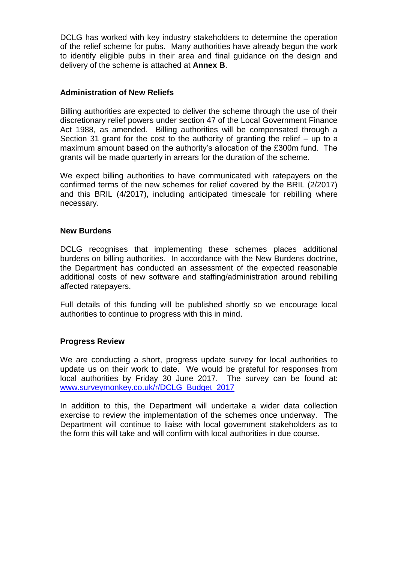DCLG has worked with key industry stakeholders to determine the operation of the relief scheme for pubs. Many authorities have already begun the work to identify eligible pubs in their area and final guidance on the design and delivery of the scheme is attached at **Annex B**.

#### **Administration of New Reliefs**

Billing authorities are expected to deliver the scheme through the use of their discretionary relief powers under section 47 of the Local Government Finance Act 1988, as amended. Billing authorities will be compensated through a Section 31 grant for the cost to the authority of granting the relief – up to a maximum amount based on the authority's allocation of the £300m fund. The grants will be made quarterly in arrears for the duration of the scheme.

We expect billing authorities to have communicated with ratepayers on the confirmed terms of the new schemes for relief covered by the BRIL (2/2017) and this BRIL (4/2017), including anticipated timescale for rebilling where necessary.

#### **New Burdens**

DCLG recognises that implementing these schemes places additional burdens on billing authorities. In accordance with the New Burdens doctrine, the Department has conducted an assessment of the expected reasonable additional costs of new software and staffing/administration around rebilling affected ratepayers.

Full details of this funding will be published shortly so we encourage local authorities to continue to progress with this in mind.

#### **Progress Review**

We are conducting a short, progress update survey for local authorities to update us on their work to date. We would be grateful for responses from local authorities by Friday 30 June 2017. The survey can be found at: [www.surveymonkey.co.uk/r/DCLG\\_Budget\\_2017](http://www.surveymonkey.co.uk/r/DCLG_Budget_2017)

In addition to this, the Department will undertake a wider data collection exercise to review the implementation of the schemes once underway. The Department will continue to liaise with local government stakeholders as to the form this will take and will confirm with local authorities in due course.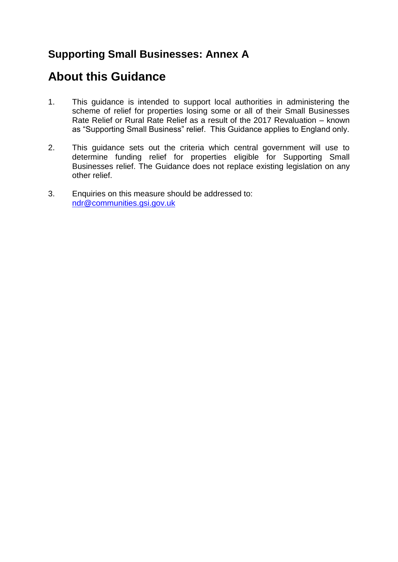### **Supporting Small Businesses: Annex A**

### **About this Guidance**

- 1. This guidance is intended to support local authorities in administering the scheme of relief for properties losing some or all of their Small Businesses Rate Relief or Rural Rate Relief as a result of the 2017 Revaluation – known as "Supporting Small Business" relief. This Guidance applies to England only.
- 2. This guidance sets out the criteria which central government will use to determine funding relief for properties eligible for Supporting Small Businesses relief. The Guidance does not replace existing legislation on any other relief.
- 3. Enquiries on this measure should be addressed to: [ndr@communities.gsi.gov.uk](mailto:ndr@communities.gsi.gov.uk)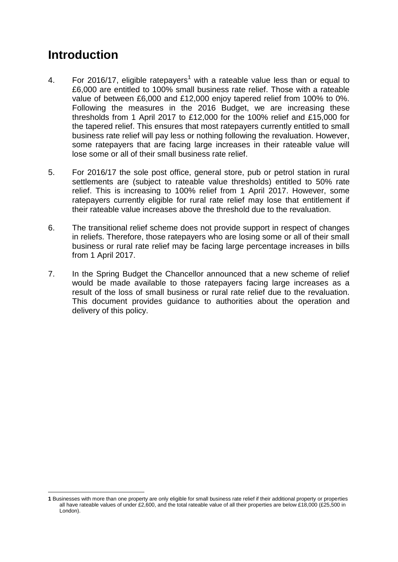# **Introduction**

- 4. For 2016/17, eligible ratepayers<sup>1</sup> with a rateable value less than or equal to £6,000 are entitled to 100% small business rate relief. Those with a rateable value of between £6,000 and £12,000 enjoy tapered relief from 100% to 0%. Following the measures in the 2016 Budget, we are increasing these thresholds from 1 April 2017 to £12,000 for the 100% relief and £15,000 for the tapered relief. This ensures that most ratepayers currently entitled to small business rate relief will pay less or nothing following the revaluation. However, some ratepayers that are facing large increases in their rateable value will lose some or all of their small business rate relief.
- 5. For 2016/17 the sole post office, general store, pub or petrol station in rural settlements are (subject to rateable value thresholds) entitled to 50% rate relief. This is increasing to 100% relief from 1 April 2017. However, some ratepayers currently eligible for rural rate relief may lose that entitlement if their rateable value increases above the threshold due to the revaluation.
- 6. The transitional relief scheme does not provide support in respect of changes in reliefs. Therefore, those ratepayers who are losing some or all of their small business or rural rate relief may be facing large percentage increases in bills from 1 April 2017.
- 7. In the Spring Budget the Chancellor announced that a new scheme of relief would be made available to those ratepayers facing large increases as a result of the loss of small business or rural rate relief due to the revaluation. This document provides guidance to authorities about the operation and delivery of this policy.

<sup>1</sup> **1** Businesses with more than one property are only eligible for small business rate relief if their additional property or properties all have rateable values of under £2,600, and the total rateable value of all their properties are below £18,000 (£25,500 in London).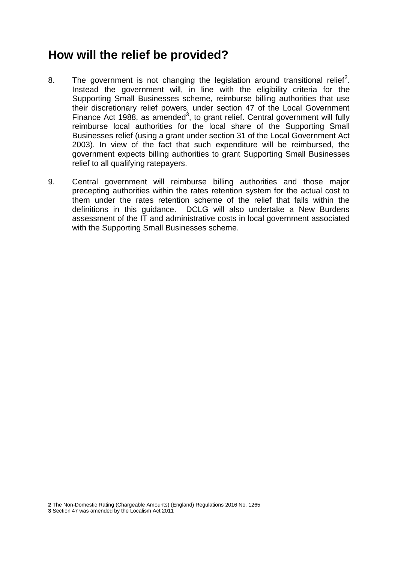## **How will the relief be provided?**

- 8. The government is not changing the legislation around transitional relief<sup>2</sup>. Instead the government will, in line with the eligibility criteria for the Supporting Small Businesses scheme, reimburse billing authorities that use their discretionary relief powers, under section 47 of the Local Government Finance Act 1988, as amended<sup>3</sup>, to grant relief. Central government will fully reimburse local authorities for the local share of the Supporting Small Businesses relief (using a grant under section 31 of the Local Government Act 2003). In view of the fact that such expenditure will be reimbursed, the government expects billing authorities to grant Supporting Small Businesses relief to all qualifying ratepayers.
- 9. Central government will reimburse billing authorities and those major precepting authorities within the rates retention system for the actual cost to them under the rates retention scheme of the relief that falls within the definitions in this guidance. DCLG will also undertake a New Burdens assessment of the IT and administrative costs in local government associated with the Supporting Small Businesses scheme.

1

**<sup>2</sup>** The Non-Domestic Rating (Chargeable Amounts) (England) Regulations 2016 No. 1265

**<sup>3</sup>** Section 47 was amended by the Localism Act 2011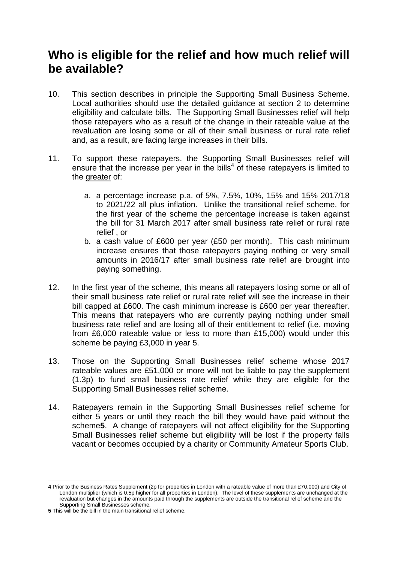## **Who is eligible for the relief and how much relief will be available?**

- 10. This section describes in principle the Supporting Small Business Scheme. Local authorities should use the detailed guidance at section 2 to determine eligibility and calculate bills. The Supporting Small Businesses relief will help those ratepayers who as a result of the change in their rateable value at the revaluation are losing some or all of their small business or rural rate relief and, as a result, are facing large increases in their bills.
- 11. To support these ratepayers, the Supporting Small Businesses relief will ensure that the increase per year in the bills<sup>4</sup> of these ratepayers is limited to the greater of:
	- a. a percentage increase p.a. of 5%, 7.5%, 10%, 15% and 15% 2017/18 to 2021/22 all plus inflation. Unlike the transitional relief scheme, for the first year of the scheme the percentage increase is taken against the bill for 31 March 2017 after small business rate relief or rural rate relief , or
	- b. a cash value of £600 per year (£50 per month). This cash minimum increase ensures that those ratepayers paying nothing or very small amounts in 2016/17 after small business rate relief are brought into paying something.
- 12. In the first year of the scheme, this means all ratepayers losing some or all of their small business rate relief or rural rate relief will see the increase in their bill capped at £600. The cash minimum increase is £600 per year thereafter. This means that ratepayers who are currently paying nothing under small business rate relief and are losing all of their entitlement to relief (i.e. moving from £6,000 rateable value or less to more than £15,000) would under this scheme be paying £3,000 in year 5.
- 13. Those on the Supporting Small Businesses relief scheme whose 2017 rateable values are £51,000 or more will not be liable to pay the supplement (1.3p) to fund small business rate relief while they are eligible for the Supporting Small Businesses relief scheme.
- 14. Ratepayers remain in the Supporting Small Businesses relief scheme for either 5 years or until they reach the bill they would have paid without the scheme**5**. A change of ratepayers will not affect eligibility for the Supporting Small Businesses relief scheme but eligibility will be lost if the property falls vacant or becomes occupied by a charity or Community Amateur Sports Club.

1

**<sup>4</sup>** Prior to the Business Rates Supplement (2p for properties in London with a rateable value of more than £70,000) and City of London multiplier (which is 0.5p higher for all properties in London). The level of these supplements are unchanged at the revaluation but changes in the amounts paid through the supplements are outside the transitional relief scheme and the Supporting Small Businesses scheme.

**<sup>5</sup>** This will be the bill in the main transitional relief scheme.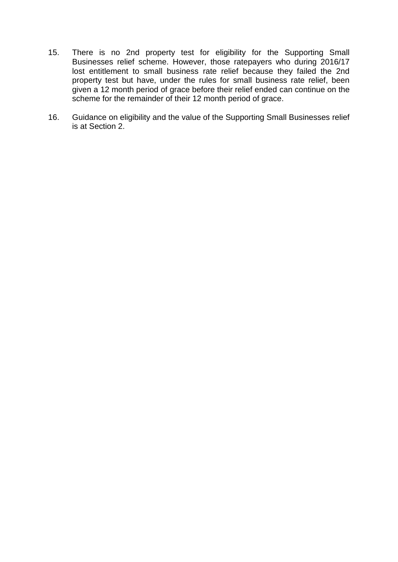- 15. There is no 2nd property test for eligibility for the Supporting Small Businesses relief scheme. However, those ratepayers who during 2016/17 lost entitlement to small business rate relief because they failed the 2nd property test but have, under the rules for small business rate relief, been given a 12 month period of grace before their relief ended can continue on the scheme for the remainder of their 12 month period of grace.
- 16. Guidance on eligibility and the value of the Supporting Small Businesses relief is at Section 2.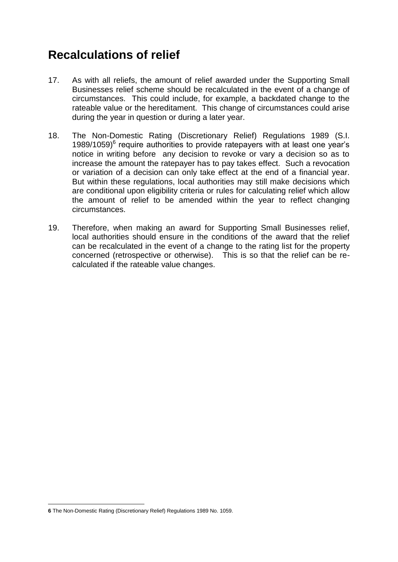# **Recalculations of relief**

- 17. As with all reliefs, the amount of relief awarded under the Supporting Small Businesses relief scheme should be recalculated in the event of a change of circumstances. This could include, for example, a backdated change to the rateable value or the hereditament. This change of circumstances could arise during the year in question or during a later year.
- 18. The Non-Domestic Rating (Discretionary Relief) Regulations 1989 (S.I. 1989/1059)<sup>6</sup> require authorities to provide ratepayers with at least one year's notice in writing before any decision to revoke or vary a decision so as to increase the amount the ratepayer has to pay takes effect. Such a revocation or variation of a decision can only take effect at the end of a financial year. But within these regulations, local authorities may still make decisions which are conditional upon eligibility criteria or rules for calculating relief which allow the amount of relief to be amended within the year to reflect changing circumstances.
- 19. Therefore, when making an award for Supporting Small Businesses relief, local authorities should ensure in the conditions of the award that the relief can be recalculated in the event of a change to the rating list for the property concerned (retrospective or otherwise). This is so that the relief can be recalculated if the rateable value changes.

<sup>1</sup> **6** The Non-Domestic Rating (Discretionary Relief) Regulations 1989 No. 1059.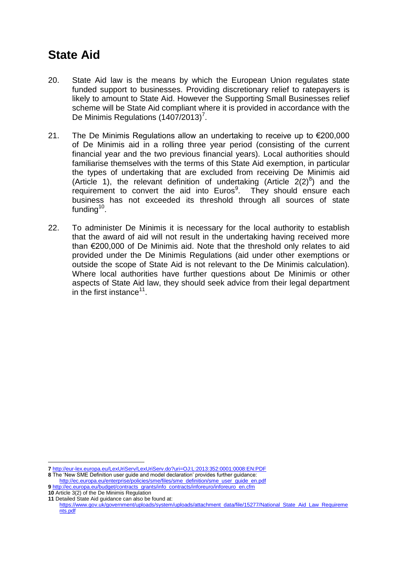## **State Aid**

- 20. State Aid law is the means by which the European Union regulates state funded support to businesses. Providing discretionary relief to ratepayers is likely to amount to State Aid. However the Supporting Small Businesses relief scheme will be State Aid compliant where it is provided in accordance with the De Minimis Regulations (1407/2013)<sup>7</sup>.
- 21. The De Minimis Regulations allow an undertaking to receive up to €200,000 of De Minimis aid in a rolling three year period (consisting of the current financial year and the two previous financial years). Local authorities should familiarise themselves with the terms of this State Aid exemption, in particular the types of undertaking that are excluded from receiving De Minimis aid (Article 1), the relevant definition of undertaking (Article  $2(2)^8$ ) and the requirement to convert the aid into Euros<sup>9</sup>. They should ensure each business has not exceeded its threshold through all sources of state funding $10$ .
- 22. To administer De Minimis it is necessary for the local authority to establish that the award of aid will not result in the undertaking having received more than €200,000 of De Minimis aid. Note that the threshold only relates to aid provided under the De Minimis Regulations (aid under other exemptions or outside the scope of State Aid is not relevant to the De Minimis calculation). Where local authorities have further questions about De Minimis or other aspects of State Aid law, they should seek advice from their legal department in the first instance $11$ .

1

**<sup>7</sup>** <http://eur-lex.europa.eu/LexUriServ/LexUriServ.do?uri=OJ:L:2013:352:0001:0008:EN:PDF>

**<sup>8</sup>** The 'New SME Definition user guide and model declaration' provides further guidance: [http://ec.europa.eu/enterprise/policies/sme/files/sme\\_definition/sme\\_user\\_guide\\_en.pdf](http://ec.europa.eu/enterprise/policies/sme/files/sme_definition/sme_user_guide_en.pdf)

**<sup>9</sup>** [http://ec.europa.eu/budget/contracts\\_grants/info\\_contracts/inforeuro/inforeuro\\_en.cfm](http://ec.europa.eu/budget/contracts_grants/info_contracts/inforeuro/inforeuro_en.cfm) **10** Article 3(2) of the De Minimis Regulation

**<sup>11</sup>** Detailed State Aid guidance can also be found at: [https://www.gov.uk/government/uploads/system/uploads/attachment\\_data/file/15277/National\\_State\\_Aid\\_Law\\_Requireme](https://www.gov.uk/government/uploads/system/uploads/attachment_data/file/15277/National_State_Aid_Law_Requirements.pdf) [nts.pdf](https://www.gov.uk/government/uploads/system/uploads/attachment_data/file/15277/National_State_Aid_Law_Requirements.pdf)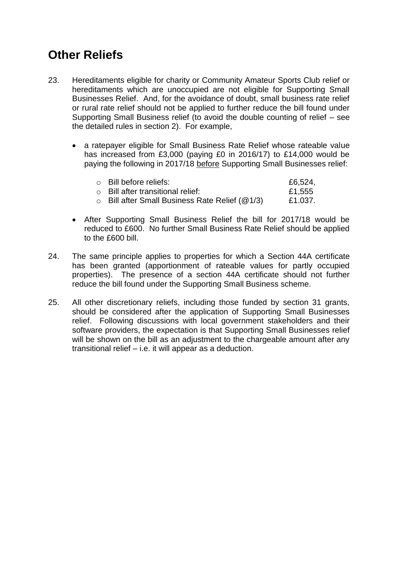# **Other Reliefs**

- 23. Hereditaments eligible for charity or Community Amateur Sports Club relief or hereditaments which are unoccupied are not eligible for Supporting Small Businesses Relief. And, for the avoidance of doubt, small business rate relief or rural rate relief should not be applied to further reduce the bill found under Supporting Small Business relief (to avoid the double counting of relief – see the detailed rules in section 2). For example,
	- a ratepayer eligible for Small Business Rate Relief whose rateable value has increased from £3,000 (paying £0 in 2016/17) to £14,000 would be paying the following in 2017/18 before Supporting Small Businesses relief:

| ○ Bill before reliefs:                                   | £6,524, |
|----------------------------------------------------------|---------|
| $\circ$ Bill after transitional relief:                  | £1,555  |
| $\circ$ Bill after Small Business Rate Relief ( $@1/3$ ) | £1.037. |

- After Supporting Small Business Relief the bill for 2017/18 would be reduced to £600. No further Small Business Rate Relief should be applied to the £600 bill.
- 24. The same principle applies to properties for which a Section 44A certificate has been granted (apportionment of rateable values for partly occupied properties). The presence of a section 44A certificate should not further reduce the bill found under the Supporting Small Business scheme.
- 25. All other discretionary reliefs, including those funded by section 31 grants, should be considered after the application of Supporting Small Businesses relief. Following discussions with local government stakeholders and their software providers, the expectation is that Supporting Small Businesses relief will be shown on the bill as an adjustment to the chargeable amount after any transitional relief – i.e. it will appear as a deduction.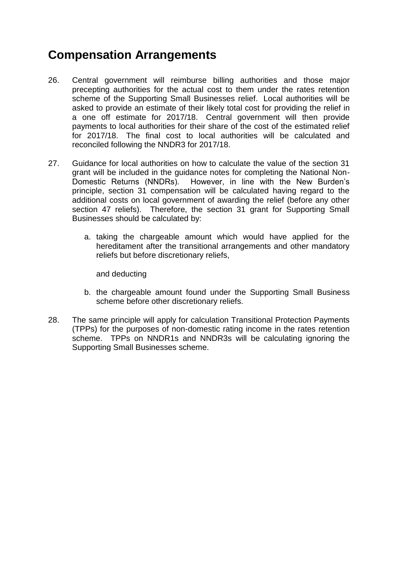# **Compensation Arrangements**

- 26. Central government will reimburse billing authorities and those major precepting authorities for the actual cost to them under the rates retention scheme of the Supporting Small Businesses relief. Local authorities will be asked to provide an estimate of their likely total cost for providing the relief in a one off estimate for 2017/18. Central government will then provide payments to local authorities for their share of the cost of the estimated relief for 2017/18. The final cost to local authorities will be calculated and reconciled following the NNDR3 for 2017/18.
- 27. Guidance for local authorities on how to calculate the value of the section 31 grant will be included in the guidance notes for completing the National Non-Domestic Returns (NNDRs). However, in line with the New Burden's principle, section 31 compensation will be calculated having regard to the additional costs on local government of awarding the relief (before any other section 47 reliefs). Therefore, the section 31 grant for Supporting Small Businesses should be calculated by:
	- a. taking the chargeable amount which would have applied for the hereditament after the transitional arrangements and other mandatory reliefs but before discretionary reliefs,

and deducting

- b. the chargeable amount found under the Supporting Small Business scheme before other discretionary reliefs.
- 28. The same principle will apply for calculation Transitional Protection Payments (TPPs) for the purposes of non-domestic rating income in the rates retention scheme. TPPs on NNDR1s and NNDR3s will be calculating ignoring the Supporting Small Businesses scheme.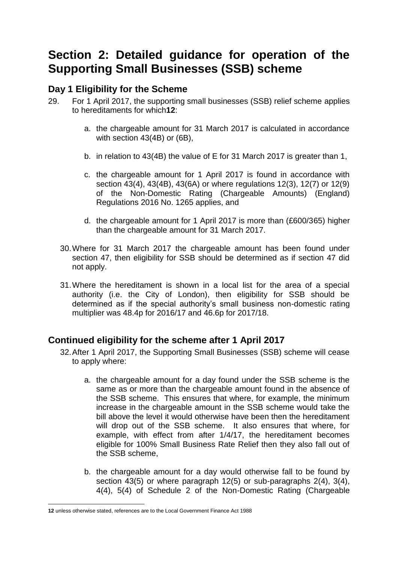## **Section 2: Detailed guidance for operation of the Supporting Small Businesses (SSB) scheme**

### **Day 1 Eligibility for the Scheme**

- 29. For 1 April 2017, the supporting small businesses (SSB) relief scheme applies to hereditaments for which**12**:
	- a. the chargeable amount for 31 March 2017 is calculated in accordance with section 43(4B) or (6B),
	- b. in relation to 43(4B) the value of E for 31 March 2017 is greater than 1,
	- c. the chargeable amount for 1 April 2017 is found in accordance with section 43(4), 43(4B), 43(6A) or where regulations 12(3), 12(7) or 12(9) of the Non-Domestic Rating (Chargeable Amounts) (England) Regulations 2016 No. 1265 applies, and
	- d. the chargeable amount for 1 April 2017 is more than (£600/365) higher than the chargeable amount for 31 March 2017.
	- 30.Where for 31 March 2017 the chargeable amount has been found under section 47, then eligibility for SSB should be determined as if section 47 did not apply.
	- 31.Where the hereditament is shown in a local list for the area of a special authority (i.e. the City of London), then eligibility for SSB should be determined as if the special authority's small business non-domestic rating multiplier was 48.4p for 2016/17 and 46.6p for 2017/18.

### **Continued eligibility for the scheme after 1 April 2017**

- 32.After 1 April 2017, the Supporting Small Businesses (SSB) scheme will cease to apply where:
	- a. the chargeable amount for a day found under the SSB scheme is the same as or more than the chargeable amount found in the absence of the SSB scheme. This ensures that where, for example, the minimum increase in the chargeable amount in the SSB scheme would take the bill above the level it would otherwise have been then the hereditament will drop out of the SSB scheme. It also ensures that where, for example, with effect from after 1/4/17, the hereditament becomes eligible for 100% Small Business Rate Relief then they also fall out of the SSB scheme,
	- b. the chargeable amount for a day would otherwise fall to be found by section 43(5) or where paragraph 12(5) or sub-paragraphs 2(4), 3(4), 4(4), 5(4) of Schedule 2 of the Non-Domestic Rating (Chargeable

<sup>1</sup> **12** unless otherwise stated, references are to the Local Government Finance Act 1988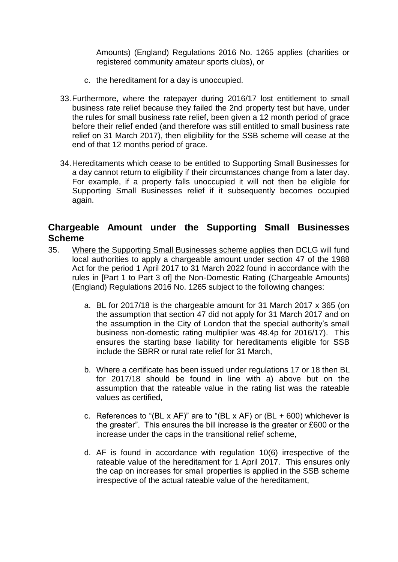Amounts) (England) Regulations 2016 No. 1265 applies (charities or registered community amateur sports clubs), or

- c. the hereditament for a day is unoccupied.
- 33.Furthermore, where the ratepayer during 2016/17 lost entitlement to small business rate relief because they failed the 2nd property test but have, under the rules for small business rate relief, been given a 12 month period of grace before their relief ended (and therefore was still entitled to small business rate relief on 31 March 2017), then eligibility for the SSB scheme will cease at the end of that 12 months period of grace.
- 34.Hereditaments which cease to be entitled to Supporting Small Businesses for a day cannot return to eligibility if their circumstances change from a later day. For example, if a property falls unoccupied it will not then be eligible for Supporting Small Businesses relief if it subsequently becomes occupied again.

### **Chargeable Amount under the Supporting Small Businesses Scheme**

- 35. Where the Supporting Small Businesses scheme applies then DCLG will fund local authorities to apply a chargeable amount under section 47 of the 1988 Act for the period 1 April 2017 to 31 March 2022 found in accordance with the rules in [Part 1 to Part 3 of] the Non-Domestic Rating (Chargeable Amounts) (England) Regulations 2016 No. 1265 subject to the following changes:
	- a. BL for 2017/18 is the chargeable amount for 31 March 2017 x 365 (on the assumption that section 47 did not apply for 31 March 2017 and on the assumption in the City of London that the special authority's small business non-domestic rating multiplier was 48.4p for 2016/17). This ensures the starting base liability for hereditaments eligible for SSB include the SBRR or rural rate relief for 31 March,
	- b. Where a certificate has been issued under regulations 17 or 18 then BL for 2017/18 should be found in line with a) above but on the assumption that the rateable value in the rating list was the rateable values as certified,
	- c. References to "(BL x AF)" are to "(BL x AF) or (BL + 600) whichever is the greater". This ensures the bill increase is the greater or £600 or the increase under the caps in the transitional relief scheme,
	- d. AF is found in accordance with regulation 10(6) irrespective of the rateable value of the hereditament for 1 April 2017. This ensures only the cap on increases for small properties is applied in the SSB scheme irrespective of the actual rateable value of the hereditament,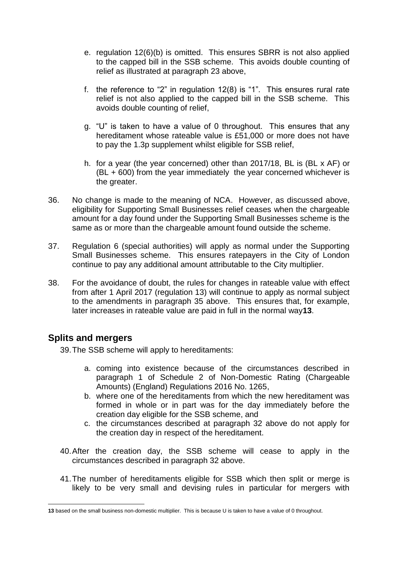- e. regulation 12(6)(b) is omitted. This ensures SBRR is not also applied to the capped bill in the SSB scheme. This avoids double counting of relief as illustrated at paragraph 23 above,
- f. the reference to "2" in regulation 12(8) is "1". This ensures rural rate relief is not also applied to the capped bill in the SSB scheme. This avoids double counting of relief,
- g. "U" is taken to have a value of 0 throughout. This ensures that any hereditament whose rateable value is £51,000 or more does not have to pay the 1.3p supplement whilst eligible for SSB relief,
- h. for a year (the year concerned) other than 2017/18, BL is (BL x AF) or (BL + 600) from the year immediately the year concerned whichever is the greater.
- 36. No change is made to the meaning of NCA. However, as discussed above, eligibility for Supporting Small Businesses relief ceases when the chargeable amount for a day found under the Supporting Small Businesses scheme is the same as or more than the chargeable amount found outside the scheme.
- 37. Regulation 6 (special authorities) will apply as normal under the Supporting Small Businesses scheme. This ensures ratepayers in the City of London continue to pay any additional amount attributable to the City multiplier.
- 38. For the avoidance of doubt, the rules for changes in rateable value with effect from after 1 April 2017 (regulation 13) will continue to apply as normal subject to the amendments in paragraph 35 above. This ensures that, for example, later increases in rateable value are paid in full in the normal way**13**.

### **Splits and mergers**

39.The SSB scheme will apply to hereditaments:

- a. coming into existence because of the circumstances described in paragraph 1 of Schedule 2 of Non-Domestic Rating (Chargeable Amounts) (England) Regulations 2016 No. 1265,
- b. where one of the hereditaments from which the new hereditament was formed in whole or in part was for the day immediately before the creation day eligible for the SSB scheme, and
- c. the circumstances described at paragraph 32 above do not apply for the creation day in respect of the hereditament.
- 40.After the creation day, the SSB scheme will cease to apply in the circumstances described in paragraph 32 above.
- 41.The number of hereditaments eligible for SSB which then split or merge is likely to be very small and devising rules in particular for mergers with

<sup>1</sup> **13** based on the small business non-domestic multiplier. This is because U is taken to have a value of 0 throughout.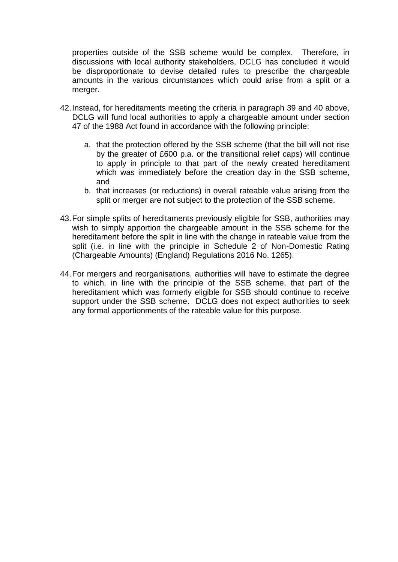properties outside of the SSB scheme would be complex. Therefore, in discussions with local authority stakeholders, DCLG has concluded it would be disproportionate to devise detailed rules to prescribe the chargeable amounts in the various circumstances which could arise from a split or a merger.

- 42.Instead, for hereditaments meeting the criteria in paragraph 39 and 40 above, DCLG will fund local authorities to apply a chargeable amount under section 47 of the 1988 Act found in accordance with the following principle:
	- a. that the protection offered by the SSB scheme (that the bill will not rise by the greater of £600 p.a. or the transitional relief caps) will continue to apply in principle to that part of the newly created hereditament which was immediately before the creation day in the SSB scheme, and
	- b. that increases (or reductions) in overall rateable value arising from the split or merger are not subject to the protection of the SSB scheme.
- 43.For simple splits of hereditaments previously eligible for SSB, authorities may wish to simply apportion the chargeable amount in the SSB scheme for the hereditament before the split in line with the change in rateable value from the split (i.e. in line with the principle in Schedule 2 of Non-Domestic Rating (Chargeable Amounts) (England) Regulations 2016 No. 1265).
- 44.For mergers and reorganisations, authorities will have to estimate the degree to which, in line with the principle of the SSB scheme, that part of the hereditament which was formerly eligible for SSB should continue to receive support under the SSB scheme. DCLG does not expect authorities to seek any formal apportionments of the rateable value for this purpose.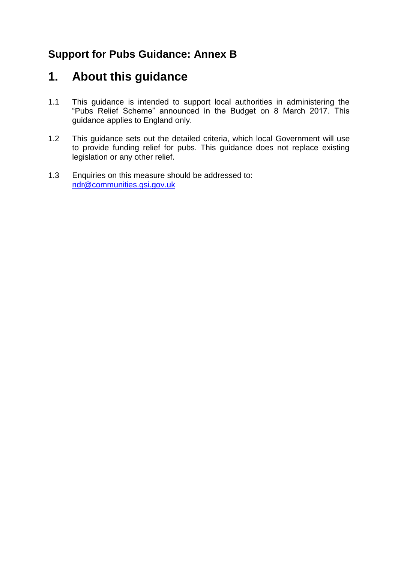### **Support for Pubs Guidance: Annex B**

### **1. About this guidance**

- 1.1 This guidance is intended to support local authorities in administering the "Pubs Relief Scheme" announced in the Budget on 8 March 2017. This guidance applies to England only.
- 1.2 This guidance sets out the detailed criteria, which local Government will use to provide funding relief for pubs. This guidance does not replace existing legislation or any other relief.
- 1.3 Enquiries on this measure should be addressed to: [ndr@communities.gsi.gov.uk](mailto:ndr@communities.gsi.gov.uk)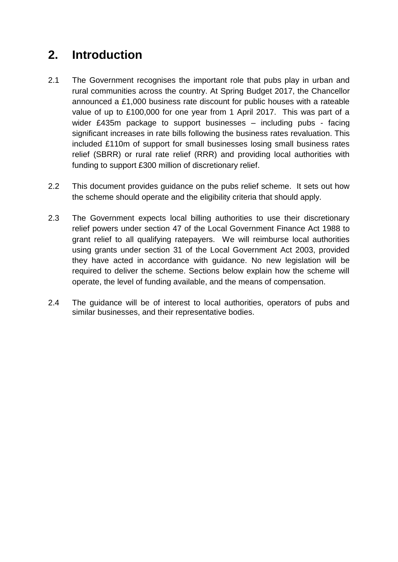# **2. Introduction**

- 2.1 The Government recognises the important role that pubs play in urban and rural communities across the country. At Spring Budget 2017, the Chancellor announced a £1,000 business rate discount for public houses with a rateable value of up to £100,000 for one year from 1 April 2017. This was part of a wider £435m package to support businesses – including pubs - facing significant increases in rate bills following the business rates revaluation. This included £110m of support for small businesses losing small business rates relief (SBRR) or rural rate relief (RRR) and providing local authorities with funding to support £300 million of discretionary relief.
- 2.2 This document provides guidance on the pubs relief scheme. It sets out how the scheme should operate and the eligibility criteria that should apply.
- 2.3 The Government expects local billing authorities to use their discretionary relief powers under section 47 of the Local Government Finance Act 1988 to grant relief to all qualifying ratepayers. We will reimburse local authorities using grants under section 31 of the Local Government Act 2003, provided they have acted in accordance with guidance. No new legislation will be required to deliver the scheme. Sections below explain how the scheme will operate, the level of funding available, and the means of compensation.
- 2.4 The guidance will be of interest to local authorities, operators of pubs and similar businesses, and their representative bodies.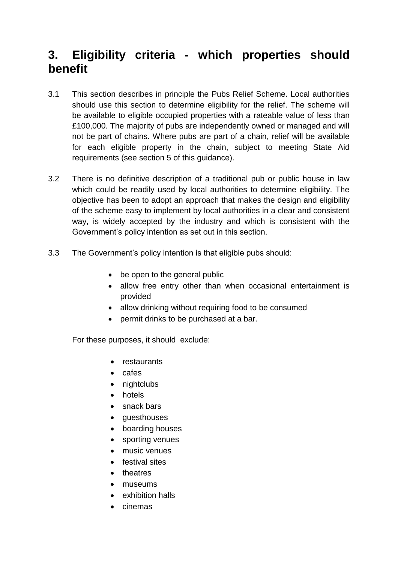# **3. Eligibility criteria - which properties should benefit**

- 3.1 This section describes in principle the Pubs Relief Scheme. Local authorities should use this section to determine eligibility for the relief. The scheme will be available to eligible occupied properties with a rateable value of less than £100,000. The majority of pubs are independently owned or managed and will not be part of chains. Where pubs are part of a chain, relief will be available for each eligible property in the chain, subject to meeting State Aid requirements (see section 5 of this guidance).
- 3.2 There is no definitive description of a traditional pub or public house in law which could be readily used by local authorities to determine eligibility. The objective has been to adopt an approach that makes the design and eligibility of the scheme easy to implement by local authorities in a clear and consistent way, is widely accepted by the industry and which is consistent with the Government's policy intention as set out in this section.
- 3.3 The Government's policy intention is that eligible pubs should:
	- be open to the general public
	- allow free entry other than when occasional entertainment is provided
	- allow drinking without requiring food to be consumed
	- permit drinks to be purchased at a bar.

For these purposes, it should exclude:

- restaurants
- cafes
- nightclubs
- hotels
- snack bars
- questhouses
- boarding houses
- sporting venues
- music venues
- **•** festival sites
- theatres
- museums
- exhibition halls
- cinemas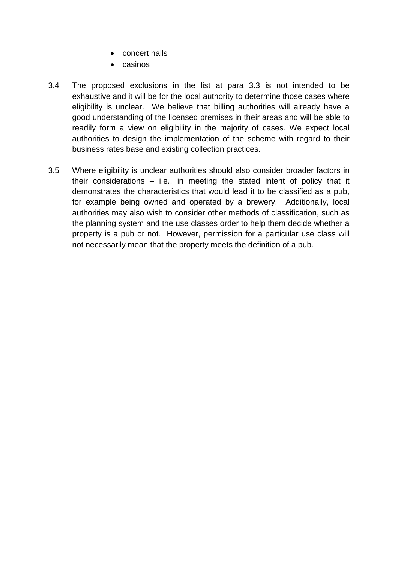- concert halls
- $\bullet$  casinos
- 3.4 The proposed exclusions in the list at para 3.3 is not intended to be exhaustive and it will be for the local authority to determine those cases where eligibility is unclear. We believe that billing authorities will already have a good understanding of the licensed premises in their areas and will be able to readily form a view on eligibility in the majority of cases. We expect local authorities to design the implementation of the scheme with regard to their business rates base and existing collection practices.
- 3.5 Where eligibility is unclear authorities should also consider broader factors in their considerations – i.e., in meeting the stated intent of policy that it demonstrates the characteristics that would lead it to be classified as a pub, for example being owned and operated by a brewery. Additionally, local authorities may also wish to consider other methods of classification, such as the planning system and the use classes order to help them decide whether a property is a pub or not. However, permission for a particular use class will not necessarily mean that the property meets the definition of a pub.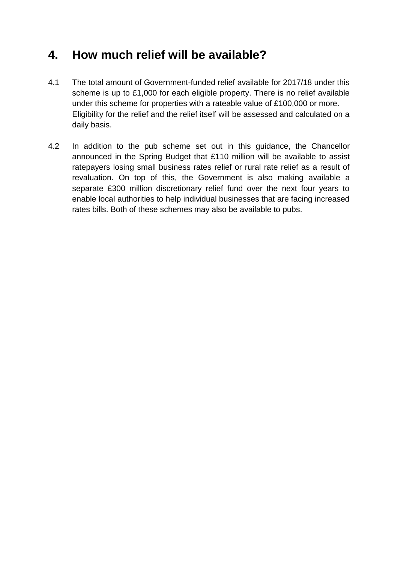# **4. How much relief will be available?**

- 4.1 The total amount of Government-funded relief available for 2017/18 under this scheme is up to £1,000 for each eligible property. There is no relief available under this scheme for properties with a rateable value of £100,000 or more. Eligibility for the relief and the relief itself will be assessed and calculated on a daily basis.
- 4.2 In addition to the pub scheme set out in this guidance, the Chancellor announced in the Spring Budget that £110 million will be available to assist ratepayers losing small business rates relief or rural rate relief as a result of revaluation. On top of this, the Government is also making available a separate £300 million discretionary relief fund over the next four years to enable local authorities to help individual businesses that are facing increased rates bills. Both of these schemes may also be available to pubs.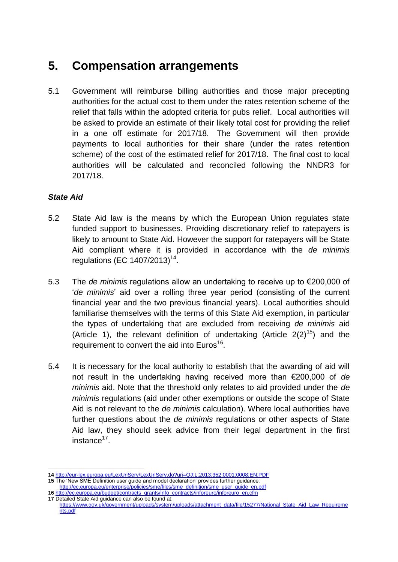## **5. Compensation arrangements**

5.1 Government will reimburse billing authorities and those major precepting authorities for the actual cost to them under the rates retention scheme of the relief that falls within the adopted criteria for pubs relief. Local authorities will be asked to provide an estimate of their likely total cost for providing the relief in a one off estimate for 2017/18. The Government will then provide payments to local authorities for their share (under the rates retention scheme) of the cost of the estimated relief for 2017/18. The final cost to local authorities will be calculated and reconciled following the NNDR3 for 2017/18.

#### *State Aid*

- 5.2 State Aid law is the means by which the European Union regulates state funded support to businesses. Providing discretionary relief to ratepayers is likely to amount to State Aid. However the support for ratepayers will be State Aid compliant where it is provided in accordance with the *de minimis* regulations (EC 1407/2013)<sup>14</sup>.
- 5.3 The *de minimis* regulations allow an undertaking to receive up to €200,000 of '*de minimis*' aid over a rolling three year period (consisting of the current financial year and the two previous financial years). Local authorities should familiarise themselves with the terms of this State Aid exemption, in particular the types of undertaking that are excluded from receiving *de minimis* aid (Article 1), the relevant definition of undertaking (Article  $2(2)^{15}$ ) and the requirement to convert the aid into  $Euros<sup>16</sup>$ .
- 5.4 It is necessary for the local authority to establish that the awarding of aid will not result in the undertaking having received more than €200,000 of *de minimis* aid. Note that the threshold only relates to aid provided under the *de minimis* regulations (aid under other exemptions or outside the scope of State Aid is not relevant to the *de minimis* calculation). Where local authorities have further questions about the *de minimis* regulations or other aspects of State Aid law, they should seek advice from their legal department in the first instance<sup>17</sup>.

**17** Detailed State Aid guidance can also be found at:

<sup>1</sup> **14** <http://eur-lex.europa.eu/LexUriServ/LexUriServ.do?uri=OJ:L:2013:352:0001:0008:EN:PDF>

**<sup>15</sup>** The 'New SME Definition user guide and model declaration' provides further guidance: [http://ec.europa.eu/enterprise/policies/sme/files/sme\\_definition/sme\\_user\\_guide\\_en.pdf](http://ec.europa.eu/enterprise/policies/sme/files/sme_definition/sme_user_guide_en.pdf) 16 [http://ec.europa.eu/budget/contracts\\_grants/info\\_contracts/inforeuro/inforeuro\\_en.cfm](http://ec.europa.eu/budget/contracts_grants/info_contracts/inforeuro/inforeuro_en.cfm)

[https://www.gov.uk/government/uploads/system/uploads/attachment\\_data/file/15277/National\\_State\\_Aid\\_Law\\_Requireme](https://www.gov.uk/government/uploads/system/uploads/attachment_data/file/15277/National_State_Aid_Law_Requirements.pdf) [nts.pdf](https://www.gov.uk/government/uploads/system/uploads/attachment_data/file/15277/National_State_Aid_Law_Requirements.pdf)